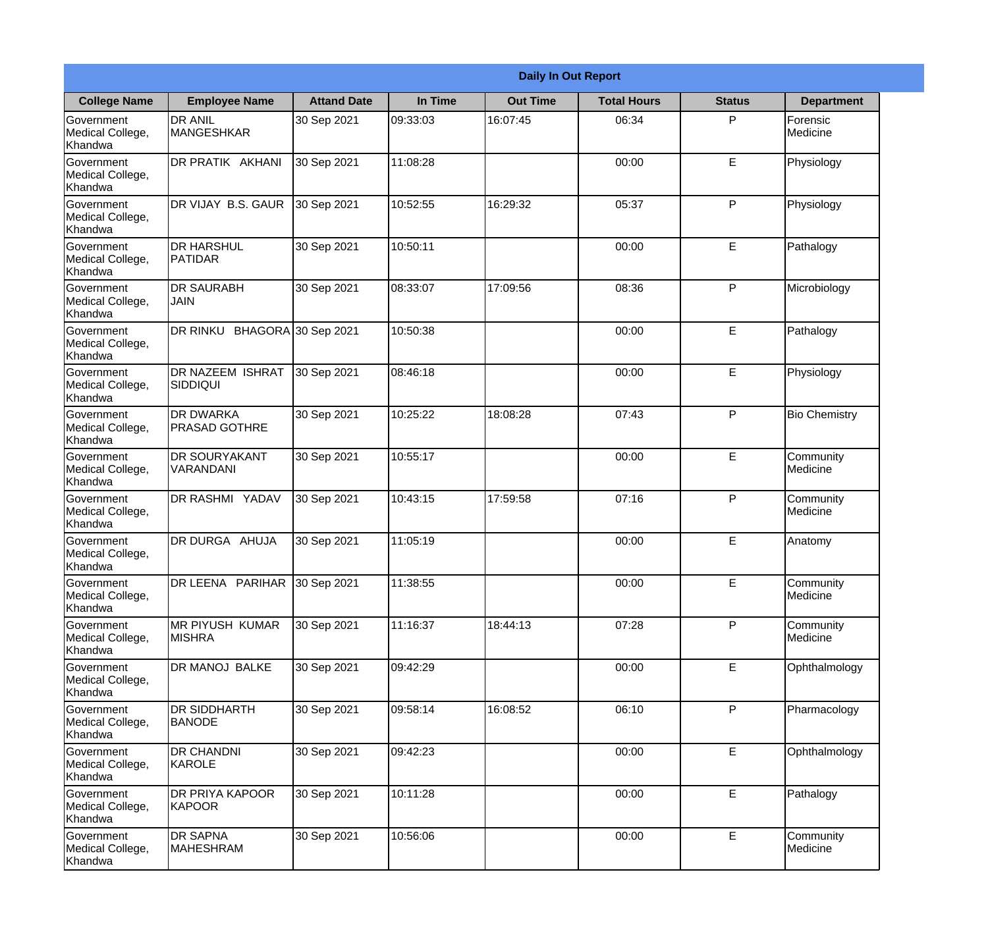|                                                  | <b>Daily In Out Report</b>                |                    |          |                 |                    |               |                             |  |
|--------------------------------------------------|-------------------------------------------|--------------------|----------|-----------------|--------------------|---------------|-----------------------------|--|
| <b>College Name</b>                              | <b>Employee Name</b>                      | <b>Attand Date</b> | In Time  | <b>Out Time</b> | <b>Total Hours</b> | <b>Status</b> | <b>Department</b>           |  |
| Government<br>Medical College,<br>Khandwa        | <b>DR ANIL</b><br><b>MANGESHKAR</b>       | 30 Sep 2021        | 09:33:03 | 16:07:45        | 06:34              | P             | Forensic<br><b>Medicine</b> |  |
| Government<br>Medical College,<br>Khandwa        | DR PRATIK AKHANI                          | 30 Sep 2021        | 11:08:28 |                 | 00:00              | E             | Physiology                  |  |
| <b>Government</b><br>Medical College,<br>Khandwa | DR VIJAY B.S. GAUR                        | 30 Sep 2021        | 10:52:55 | 16:29:32        | 05:37              | P             | Physiology                  |  |
| Government<br>Medical College,<br>Khandwa        | <b>I</b> DR HARSHUL<br>PATIDAR            | 30 Sep 2021        | 10:50:11 |                 | 00:00              | E             | Pathalogy                   |  |
| Government<br>Medical College,<br>Khandwa        | <b>DR SAURABH</b><br><b>JAIN</b>          | 30 Sep 2021        | 08:33:07 | 17:09:56        | 08:36              | P             | Microbiology                |  |
| Government<br>Medical College,<br>Khandwa        | DR RINKU BHAGORA 30 Sep 2021              |                    | 10:50:38 |                 | 00:00              | E             | Pathalogy                   |  |
| Government<br>Medical College,<br>Khandwa        | <b>DR NAZEEM ISHRAT</b><br>SIDDIQUI       | 30 Sep 2021        | 08:46:18 |                 | 00:00              | E             | Physiology                  |  |
| Government<br>Medical College,<br>Khandwa        | <b>DR DWARKA</b><br><b>IPRASAD GOTHRE</b> | 30 Sep 2021        | 10:25:22 | 18:08:28        | 07:43              | P             | <b>Bio Chemistry</b>        |  |
| Government<br>Medical College,<br>Khandwa        | <b>DR SOURYAKANT</b><br>VARANDANI         | 30 Sep 2021        | 10:55:17 |                 | 00:00              | E             | Community<br>Medicine       |  |
| Government<br>Medical College,<br>Khandwa        | <b>DR RASHMI YADAV</b>                    | 30 Sep 2021        | 10:43:15 | 17:59:58        | 07:16              | P             | Community<br>Medicine       |  |
| Government<br>Medical College,<br>Khandwa        | DR DURGA AHUJA                            | 30 Sep 2021        | 11:05:19 |                 | 00:00              | E             | Anatomy                     |  |
| Government<br>Medical College,<br>Khandwa        | DR LEENA PARIHAR 30 Sep 2021              |                    | 11:38:55 |                 | 00:00              | E             | Community<br>Medicine       |  |
| Government<br>Medical College,<br>Khandwa        | <b>MR PIYUSH KUMAR</b><br><b>MISHRA</b>   | 30 Sep 2021        | 11:16:37 | 18:44:13        | 07:28              | P             | Community<br>Medicine       |  |
| Government<br>Medical College,<br>Khandwa        | DR MANOJ BALKE                            | 30 Sep 2021        | 09:42:29 |                 | 00:00              | E             | Ophthalmology               |  |
| Government<br>Medical College,<br>Khandwa        | IDR SIDDHARTH<br><b>BANODE</b>            | 30 Sep 2021        | 09:58:14 | 16:08:52        | 06:10              | $\mathsf{P}$  | Pharmacology                |  |
| Government<br>Medical College,<br>Khandwa        | <b>DR CHANDNI</b><br>KAROLE               | 30 Sep 2021        | 09:42:23 |                 | 00:00              | $\mathsf E$   | Ophthalmology               |  |
| Government<br>Medical College,<br>Khandwa        | <b>DR PRIYA KAPOOR</b><br>KAPOOR          | 30 Sep 2021        | 10:11:28 |                 | 00:00              | E             | Pathalogy                   |  |
| Government<br>Medical College,<br>Khandwa        | <b>DR SAPNA</b><br><b>MAHESHRAM</b>       | 30 Sep 2021        | 10:56:06 |                 | 00:00              | E             | Community<br>Medicine       |  |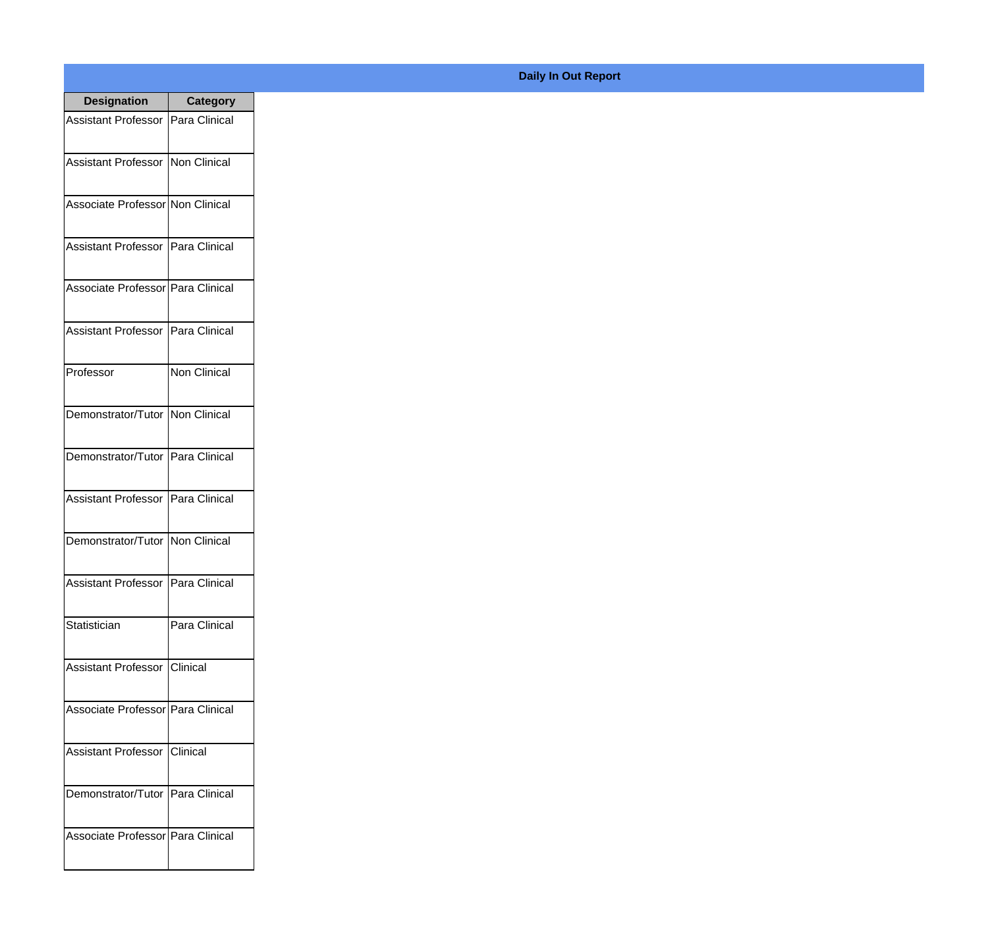| <b>Designation</b>                  | <b>Category</b>     |
|-------------------------------------|---------------------|
| Assistant Professor   Para Clinical |                     |
| Assistant Professor   Non Clinical  |                     |
| Associate Professor Non Clinical    |                     |
| Assistant Professor   Para Clinical |                     |
| Associate Professor   Para Clinical |                     |
| Assistant Professor   Para Clinical |                     |
| Professor                           | <b>Non Clinical</b> |
| Demonstrator/Tutor   Non Clinical   |                     |
| Demonstrator/Tutor   Para Clinical  |                     |
| <b>Assistant Professor</b>          | Para Clinical       |
| Demonstrator/Tutor   Non Clinical   |                     |
| Assistant Professor   Para Clinical |                     |
| Statistician                        | Para Clinical       |
| Assistant Professor   Clinical      |                     |
| Associate Professor Para Clinical   |                     |
| <b>Assistant Professor</b>          | <b>Clinical</b>     |
| Demonstrator/Tutor   Para Clinical  |                     |
| Associate Professor Para Clinical   |                     |

## **Daily In Out Report**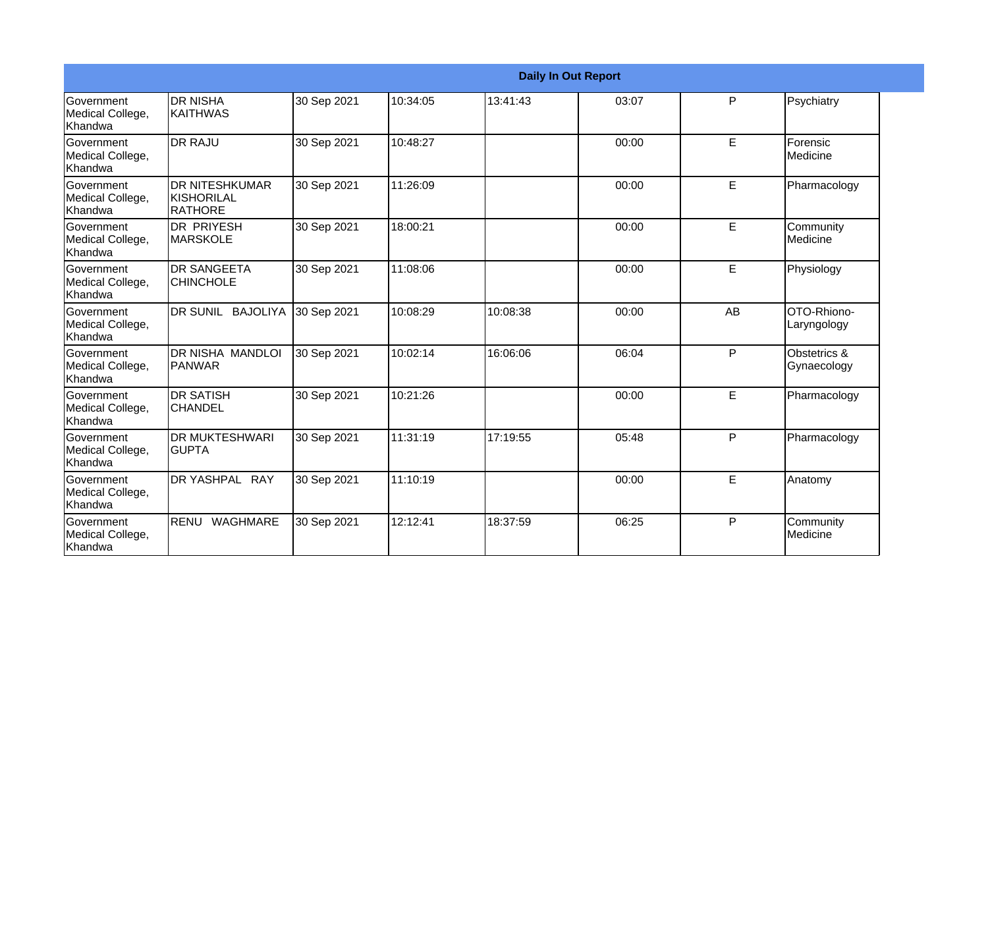|                                                  |                                                       |             |          |          | <b>Daily In Out Report</b> |    |                             |
|--------------------------------------------------|-------------------------------------------------------|-------------|----------|----------|----------------------------|----|-----------------------------|
| Government<br>Medical College,<br>Khandwa        | <b>DR NISHA</b><br>IKAITHWAS                          | 30 Sep 2021 | 10:34:05 | 13:41:43 | 03:07                      | P  | Psychiatry                  |
| Government<br>Medical College,<br>Khandwa        | <b>DR RAJU</b>                                        | 30 Sep 2021 | 10:48:27 |          | 00:00                      | E  | Forensic<br>Medicine        |
| Government<br>Medical College,<br>Khandwa        | <b>DR NITESHKUMAR</b><br><b>KISHORILAL</b><br>RATHORE | 30 Sep 2021 | 11:26:09 |          | 00:00                      | E  | Pharmacology                |
| Government<br>Medical College,<br>Khandwa        | <b>DR PRIYESH</b><br><b>MARSKOLE</b>                  | 30 Sep 2021 | 18:00:21 |          | 00:00                      | E  | Community<br>Medicine       |
| Government<br>Medical College,<br>Khandwa        | <b>DR SANGEETA</b><br><b>CHINCHOLE</b>                | 30 Sep 2021 | 11:08:06 |          | 00:00                      | E  | Physiology                  |
| Government<br>Medical College,<br>Khandwa        | DR SUNIL BAJOLIYA                                     | 30 Sep 2021 | 10:08:29 | 10:08:38 | 00:00                      | AB | OTO-Rhiono-<br>Laryngology  |
| <b>Sovernment</b><br>Medical College,<br>Khandwa | DR NISHA MANDLOI<br>PANWAR                            | 30 Sep 2021 | 10:02:14 | 16:06:06 | 06:04                      | P  | Obstetrics &<br>Gynaecology |
| Government<br>Medical College,<br>Khandwa        | <b>DR SATISH</b><br><b>CHANDEL</b>                    | 30 Sep 2021 | 10:21:26 |          | 00:00                      | E  | Pharmacology                |
| Government<br>Medical College,<br>Khandwa        | <b>DR MUKTESHWARI</b><br><b>GUPTA</b>                 | 30 Sep 2021 | 11:31:19 | 17:19:55 | 05:48                      | P  | Pharmacology                |
| <b>Government</b><br>Medical College,<br>Khandwa | DR YASHPAL RAY                                        | 30 Sep 2021 | 11:10:19 |          | 00:00                      | E  | Anatomy                     |
| Government<br>Medical College,<br>Khandwa        | RENU WAGHMARE                                         | 30 Sep 2021 | 12:12:41 | 18:37:59 | 06:25                      | P  | Community<br>Medicine       |